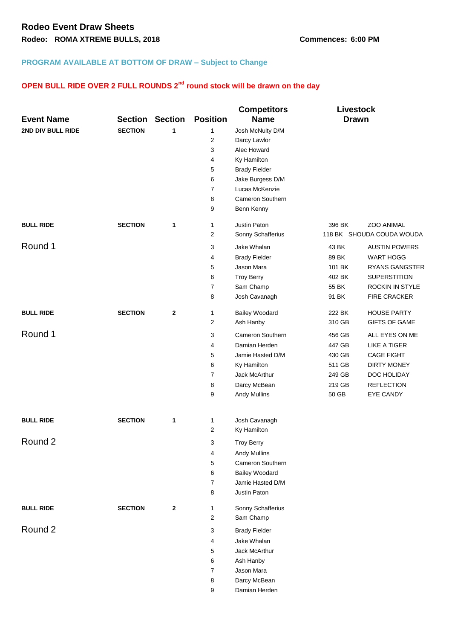## **PROGRAM AVAILABLE AT BOTTOM OF DRAW – Subject to Change**

## **OPEN BULL RIDE OVER 2 FULL ROUNDS 2nd round stock will be drawn on the day**

|                   |                |                |                 | <b>Competitors</b>      | <b>Livestock</b> |                           |
|-------------------|----------------|----------------|-----------------|-------------------------|------------------|---------------------------|
| <b>Event Name</b> | <b>Section</b> | <b>Section</b> | <b>Position</b> | <b>Name</b>             | <b>Drawn</b>     |                           |
| 2ND DIV BULL RIDE | <b>SECTION</b> | 1              | 1               | Josh McNulty D/M        |                  |                           |
|                   |                |                | $\overline{2}$  | Darcy Lawlor            |                  |                           |
|                   |                |                | 3               | Alec Howard             |                  |                           |
|                   |                |                | 4               | Ky Hamilton             |                  |                           |
|                   |                |                | 5               | <b>Brady Fielder</b>    |                  |                           |
|                   |                |                | 6               | Jake Burgess D/M        |                  |                           |
|                   |                |                | $\overline{7}$  | Lucas McKenzie          |                  |                           |
|                   |                |                | 8               | <b>Cameron Southern</b> |                  |                           |
|                   |                |                | 9               | Benn Kenny              |                  |                           |
| <b>BULL RIDE</b>  | <b>SECTION</b> | 1              | 1               | Justin Paton            | 396 BK           | <b>ZOO ANIMAL</b>         |
|                   |                |                | $\overline{c}$  | Sonny Schafferius       |                  | 118 BK SHOUDA COUDA WOUDA |
| Round 1           |                |                | 3               | Jake Whalan             | 43 BK            | <b>AUSTIN POWERS</b>      |
|                   |                |                | 4               | <b>Brady Fielder</b>    | 89 BK            | <b>WART HOGG</b>          |
|                   |                |                | 5               | Jason Mara              | 101 BK           | <b>RYANS GANGSTER</b>     |
|                   |                |                | 6               | <b>Troy Berry</b>       | 402 BK           | <b>SUPERSTITION</b>       |
|                   |                |                | $\overline{7}$  | Sam Champ               | 55 BK            | ROCKIN IN STYLE           |
|                   |                |                | 8               | Josh Cavanagh           | 91 BK            | FIRE CRACKER              |
| <b>BULL RIDE</b>  | <b>SECTION</b> | $\mathbf 2$    | 1               | <b>Bailey Woodard</b>   | 222 BK           | <b>HOUSE PARTY</b>        |
|                   |                |                | 2               | Ash Hanby               | 310 GB           | <b>GIFTS OF GAME</b>      |
| Round 1           |                |                | 3               | Cameron Southern        | 456 GB           | ALL EYES ON ME            |
|                   |                |                | 4               | Damian Herden           | 447 GB           | LIKE A TIGER              |
|                   |                |                | 5               | Jamie Hasted D/M        | 430 GB           | <b>CAGE FIGHT</b>         |
|                   |                |                | 6               | Ky Hamilton             | 511 GB           | <b>DIRTY MONEY</b>        |
|                   |                |                | $\overline{7}$  | Jack McArthur           | 249 GB           | DOC HOLIDAY               |
|                   |                |                | 8               | Darcy McBean            | 219 GB           | <b>REFLECTION</b>         |
|                   |                |                | 9               | Andy Mullins            | 50 GB            | EYE CANDY                 |
| <b>BULL RIDE</b>  | <b>SECTION</b> | 1              | 1               | Josh Cavanagh           |                  |                           |
|                   |                |                | 2               | Ky Hamilton             |                  |                           |
| Round 2           |                |                | 3               | <b>Troy Berry</b>       |                  |                           |
|                   |                |                | 4               | <b>Andy Mullins</b>     |                  |                           |
|                   |                |                | 5               | Cameron Southern        |                  |                           |
|                   |                |                | 6               | <b>Bailey Woodard</b>   |                  |                           |
|                   |                |                | $\overline{7}$  | Jamie Hasted D/M        |                  |                           |
|                   |                |                | 8               | Justin Paton            |                  |                           |
| <b>BULL RIDE</b>  | <b>SECTION</b> | $\mathbf{2}$   | 1               | Sonny Schafferius       |                  |                           |
|                   |                |                | 2               | Sam Champ               |                  |                           |
| Round 2           |                |                | 3               | <b>Brady Fielder</b>    |                  |                           |
|                   |                |                | 4               | Jake Whalan             |                  |                           |
|                   |                |                | 5               | Jack McArthur           |                  |                           |
|                   |                |                | 6               | Ash Hanby               |                  |                           |
|                   |                |                | $\overline{7}$  | Jason Mara              |                  |                           |
|                   |                |                | 8               | Darcy McBean            |                  |                           |
|                   |                |                | 9               | Damian Herden           |                  |                           |